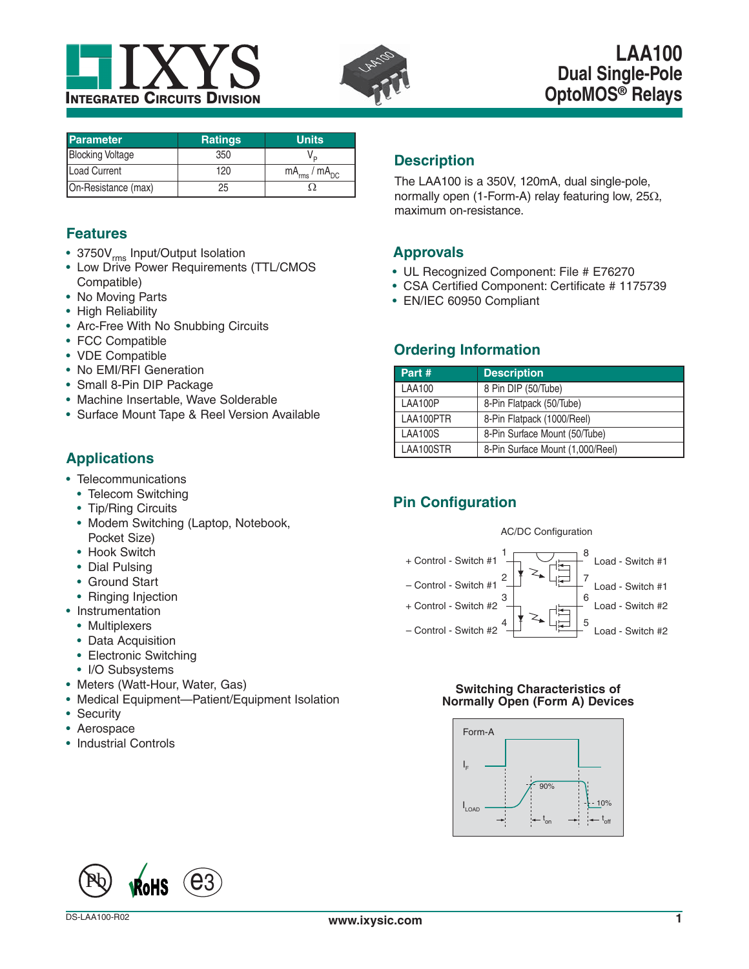



| <b>Parameter</b>        | <b>Ratings</b> | <b>Units</b>           |
|-------------------------|----------------|------------------------|
| <b>Blocking Voltage</b> | 350            |                        |
| Load Current            | 120            | $mA_{rms}$ / $mA_{DC}$ |
| On-Resistance (max)     | 25             |                        |

# **Features**

- 3750V<sub>rms</sub> Input/Output Isolation
- Low Drive Power Requirements (TTL/CMOS Compatible)
- No Moving Parts
- High Reliability
- Arc-Free With No Snubbing Circuits
- FCC Compatible
- VDE Compatible
- No EMI/RFI Generation
- Small 8-Pin DIP Package
- Machine Insertable, Wave Solderable
- Surface Mount Tape & Reel Version Available

# **Applications**

- Telecommunications
	- Telecom Switching
	- Tip/Ring Circuits
	- Modem Switching (Laptop, Notebook, Pocket Size)
	- Hook Switch
	- Dial Pulsing
	- Ground Start
	- Ringing Injection
- Instrumentation
	- Multiplexers
	- Data Acquisition
	- Electronic Switching
	- I/O Subsystems
- Meters (Watt-Hour, Water, Gas)
- Medical Equipment—Patient/Equipment Isolation
- Security
- Aerospace
- Industrial Controls

# **Description**

The LAA100 is a 350V, 120mA, dual single-pole, normally open (1-Form-A) relay featuring low,  $25\Omega$ , maximum on-resistance.

# **Approvals**

- UL Recognized Component: File # E76270
- CSA Certified Component: Certificate # 1175739
- EN/IEC 60950 Compliant

# **Ordering Information**

| Part#          | <b>Description</b>               |
|----------------|----------------------------------|
| <b>LAA100</b>  | 8 Pin DIP (50/Tube)              |
| LAA100P        | 8-Pin Flatpack (50/Tube)         |
| LAA100PTR      | 8-Pin Flatpack (1000/Reel)       |
| <b>LAA100S</b> | 8-Pin Surface Mount (50/Tube)    |
| LAA100STR      | 8-Pin Surface Mount (1,000/Reel) |

# **Pin Configuration**

#### AC/DC Configuration



#### **Switching Characteristics of Normally Open (Form A) Devices**



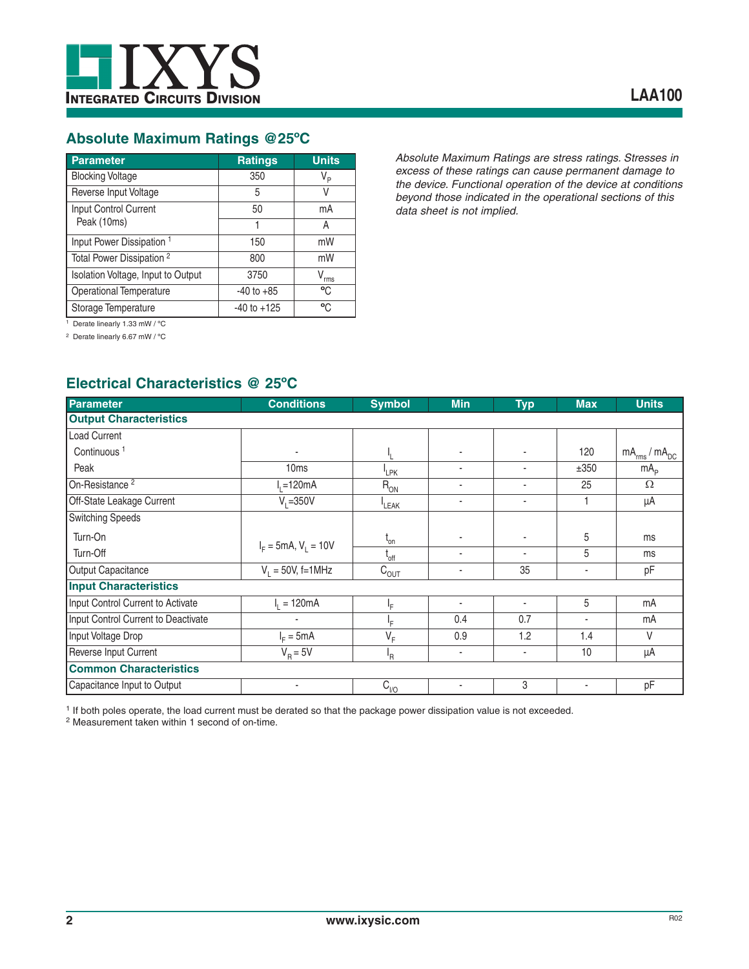

# **Absolute Maximum Ratings @25ºC**

| Parameter                            | <b>Ratings</b>  | <b>Units</b>   |
|--------------------------------------|-----------------|----------------|
| <b>Blocking Voltage</b>              | 350             | V <sub>P</sub> |
| Reverse Input Voltage                | 5               | V              |
| Input Control Current                | 50              | mA             |
| Peak (10ms)                          |                 | А              |
| Input Power Dissipation <sup>1</sup> | 150             | mW             |
| Total Power Dissipation <sup>2</sup> | 800             | mW             |
| Isolation Voltage, Input to Output   | 3750            | V<br>rms       |
| <b>Operational Temperature</b>       | $-40$ to $+85$  | °C             |
| Storage Temperature                  | $-40$ to $+125$ | °C             |

*Absolute Maximum Ratings are stress ratings. Stresses in excess of these ratings can cause permanent damage to the device. Functional operation of the device at conditions beyond those indicated in the operational sections of this data sheet is not implied.*

<sup>1</sup> Derate linearly 1.33 mW / °C

2 Derate linearly 6.67 mW / ºC

# **Electrical Characteristics @ 25ºC**

| <b>Parameter</b>                    | <b>Conditions</b>      | <b>Symbol</b>              | <b>Min</b> | <b>Typ</b> | <b>Max</b> | <b>Units</b>           |
|-------------------------------------|------------------------|----------------------------|------------|------------|------------|------------------------|
| <b>Output Characteristics</b>       |                        |                            |            |            |            |                        |
| Load Current                        |                        |                            |            |            |            |                        |
| Continuous <sup>1</sup>             |                        |                            |            | ٠          | 120        | $mA_{rms}$ / $mA_{DC}$ |
| Peak                                | 10 <sub>ms</sub>       | <sup>I</sup> LPK           | ٠          | ٠          | ±350       | mA <sub>p</sub>        |
| On-Resistance <sup>2</sup>          | $I1=120mA$             | $R_{ON}$                   | ٠          | ٠          | 25         | $\Omega$               |
| Off-State Leakage Current           | $V_i = 350V$           | LEAK                       | ٠          | ٠          |            | μA                     |
| <b>Switching Speeds</b>             |                        |                            |            |            |            |                        |
| Turn-On                             |                        | $\mathfrak{t}_{\text{on}}$ |            | ٠          | 5          | ms                     |
| Turn-Off                            | $I_F = 5mA, V_1 = 10V$ | $L_{\rm off}$              |            | ٠          | 5          | ms                     |
| Output Capacitance                  | $V_1 = 50V_2$ , f=1MHz | $C_{\overline{OUT}}$       | ٠          | 35         | ۰          | pF                     |
| <b>Input Characteristics</b>        |                        |                            |            |            |            |                        |
| Input Control Current to Activate   | $I_1 = 120mA$          | ΙF                         |            | ٠          | 5          | mA                     |
| Input Control Current to Deactivate |                        | lF.                        | 0.4        | 0.7        | ٠          | mA                     |
| Input Voltage Drop                  | $IF = 5mA$             | $\mathsf{V}_\mathsf{F}$    | 0.9        | 1.2        | 1.4        | $\vee$                 |
| Reverse Input Current               | $V_B = 5V$             | ŀR                         | ٠          | ٠          | 10         | μA                     |
| <b>Common Characteristics</b>       |                        |                            |            |            |            |                        |
| Capacitance Input to Output         | ٠                      | $C_{1/0}$                  | ٠          | 3          | ٠          | pF                     |

1 If both poles operate, the load current must be derated so that the package power dissipation value is not exceeded.

2 Measurement taken within 1 second of on-time.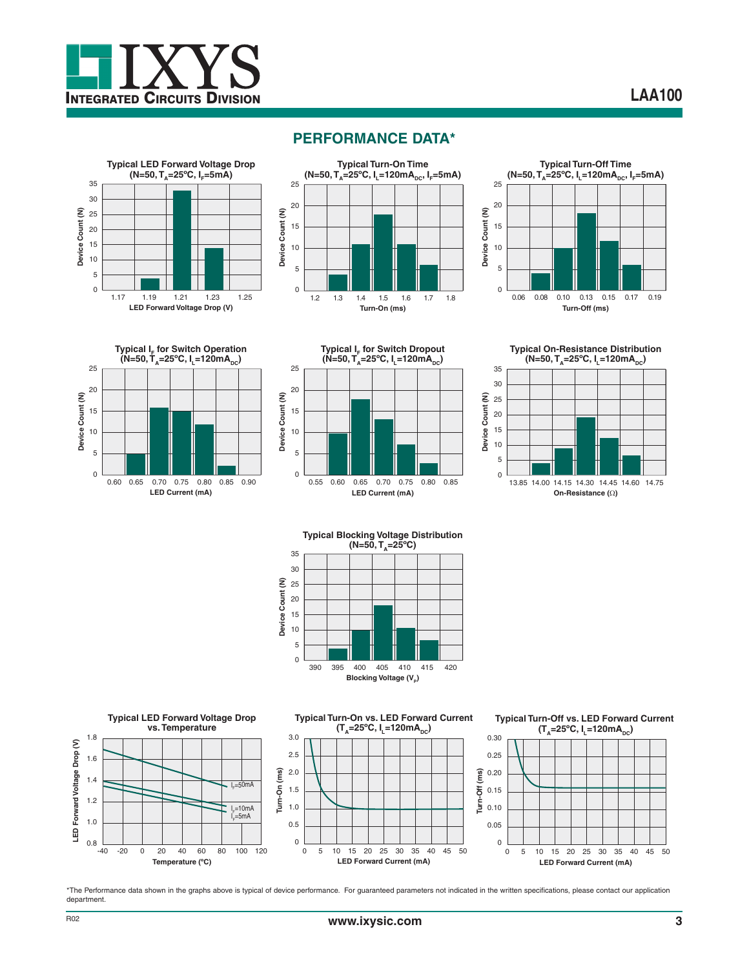



# **PERFORMANCE DATA\***

















\*The Performance data shown in the graphs above is typical of device performance. For guaranteed parameters not indicated in the written specifications, please contact our application department.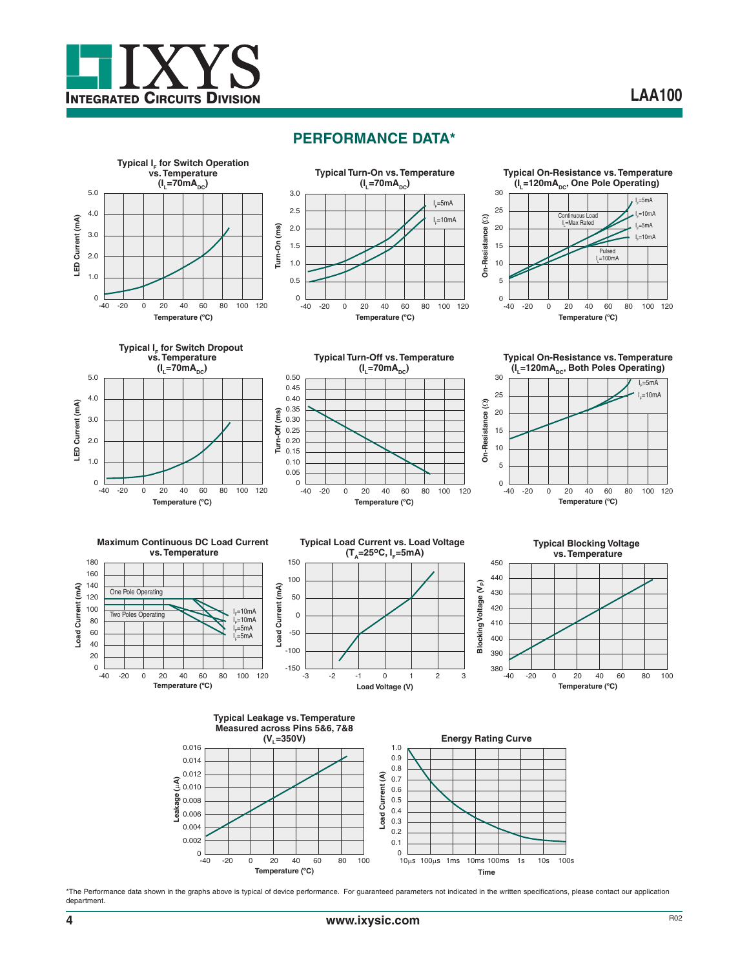



















**Typical Leakage vs. Temperature Measured across Pins 5&6, 7&8 (VL=350V) Energy Rating Curve** 0.016 1.0 0.9 0.014 0.8 0.012 Load Current (A) **Load Current (A)** 0.7 E) **Leakage (**P**A)** 0.010 0.6 0.5 0.008 0.4 0.006 0.3 0.004 0.2 0.002 0.1  $\Omega$ 0 -20 0 20 40 60 80 100  $-40$  $10\mu s$  100 $\mu s$  1ms 10ms 100ms 1s 10s 100s **Temperature (ºC) Time**

\*The Performance data shown in the graphs above is typical of device performance. For guaranteed parameters not indicated in the written specifications, please contact our application department.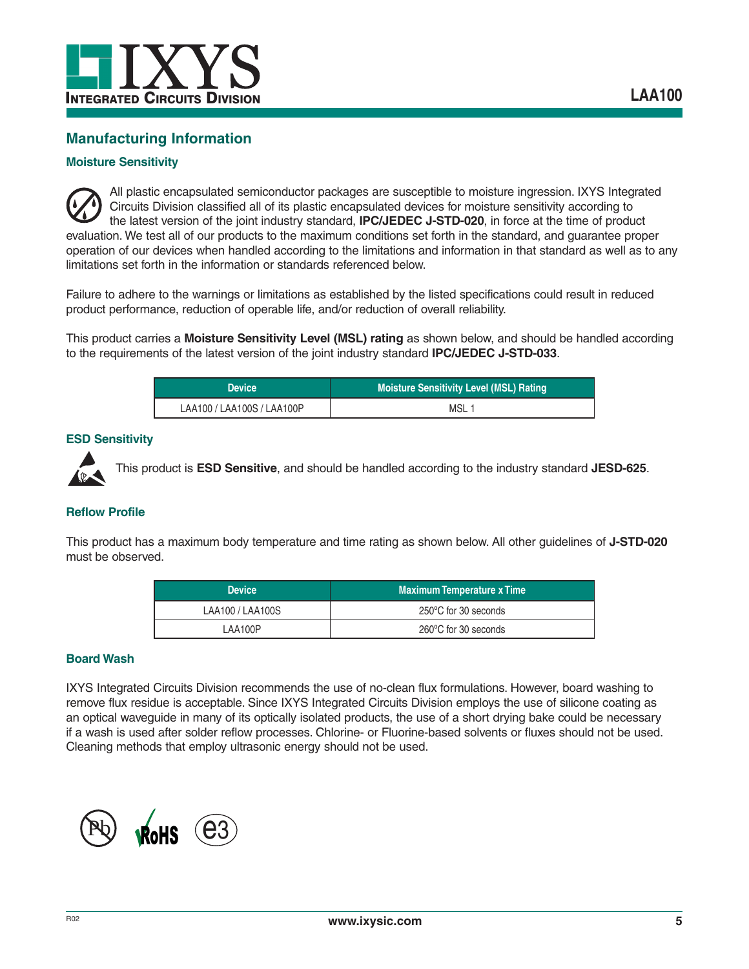

# **Manufacturing Information**

#### **Moisture Sensitivity**

All plastic encapsulated semiconductor packages are susceptible to moisture ingression. IXYS Integrated Circuits Division classified all of its plastic encapsulated devices for moisture sensitivity according to the latest version of the joint industry standard, **IPC/JEDEC J-STD-020**, in force at the time of product evaluation. We test all of our products to the maximum conditions set forth in the standard, and guarantee proper operation of our devices when handled according to the limitations and information in that standard as well as to any limitations set forth in the information or standards referenced below.

Failure to adhere to the warnings or limitations as established by the listed specifications could result in reduced product performance, reduction of operable life, and/or reduction of overall reliability.

This product carries a **Moisture Sensitivity Level (MSL) rating** as shown below, and should be handled according to the requirements of the latest version of the joint industry standard **IPC/JEDEC J-STD-033**.

| <b>Device</b>              | Moisture Sensitivity Level (MSL) Rating |
|----------------------------|-----------------------------------------|
| LAA100 / LAA100S / LAA100P | MSL <sub>1</sub>                        |

#### **ESD Sensitivity**



This product is **ESD Sensitive**, and should be handled according to the industry standard **JESD-625**.

#### **Reflow Profile**

This product has a maximum body temperature and time rating as shown below. All other guidelines of **J-STD-020** must be observed.

| <b>Device</b>    | <b>Maximum Temperature x Time</b> |
|------------------|-----------------------------------|
| LAA100 / LAA100S | 250°C for 30 seconds              |
| LAA100P          | 260°C for 30 seconds              |

#### **Board Wash**

IXYS Integrated Circuits Division recommends the use of no-clean flux formulations. However, board washing to remove flux residue is acceptable. Since IXYS Integrated Circuits Division employs the use of silicone coating as an optical waveguide in many of its optically isolated products, the use of a short drying bake could be necessary if a wash is used after solder reflow processes. Chlorine- or Fluorine-based solvents or fluxes should not be used. Cleaning methods that employ ultrasonic energy should not be used.

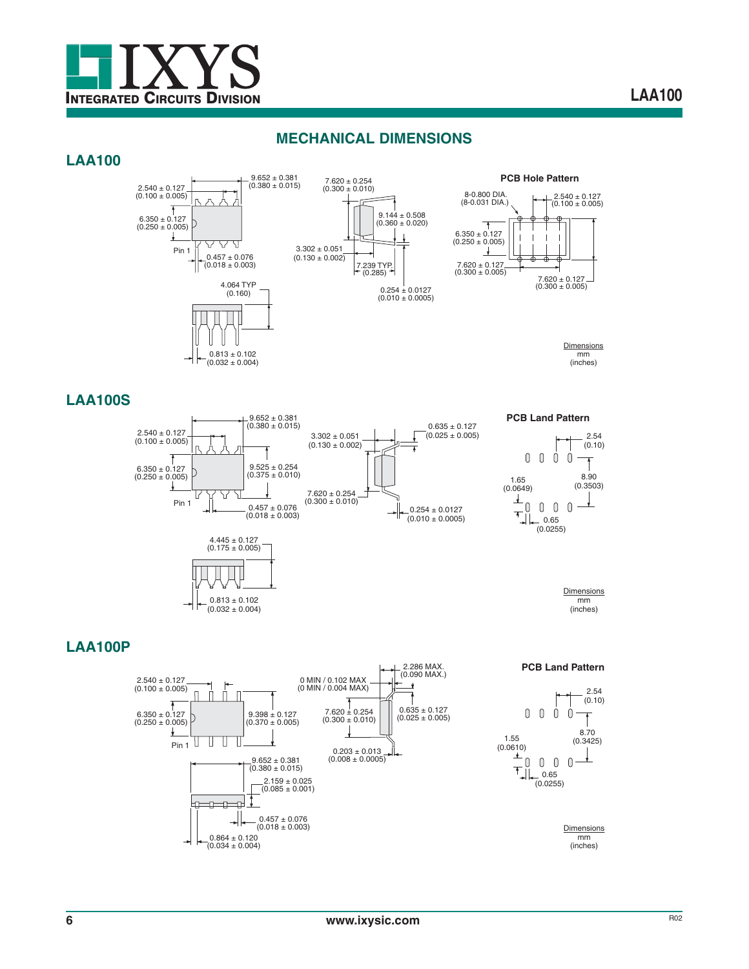

# **MECHANICAL DIMENSIONS**

#### **LAA100**



 $(0.032 \pm 0.004)$ 





**Dimensions** mm (inches)

### **LAA100S**



**PCB Land Pattern**





**LAA100P**



**PCB Land Pattern**



**Dimensions** mm (inches)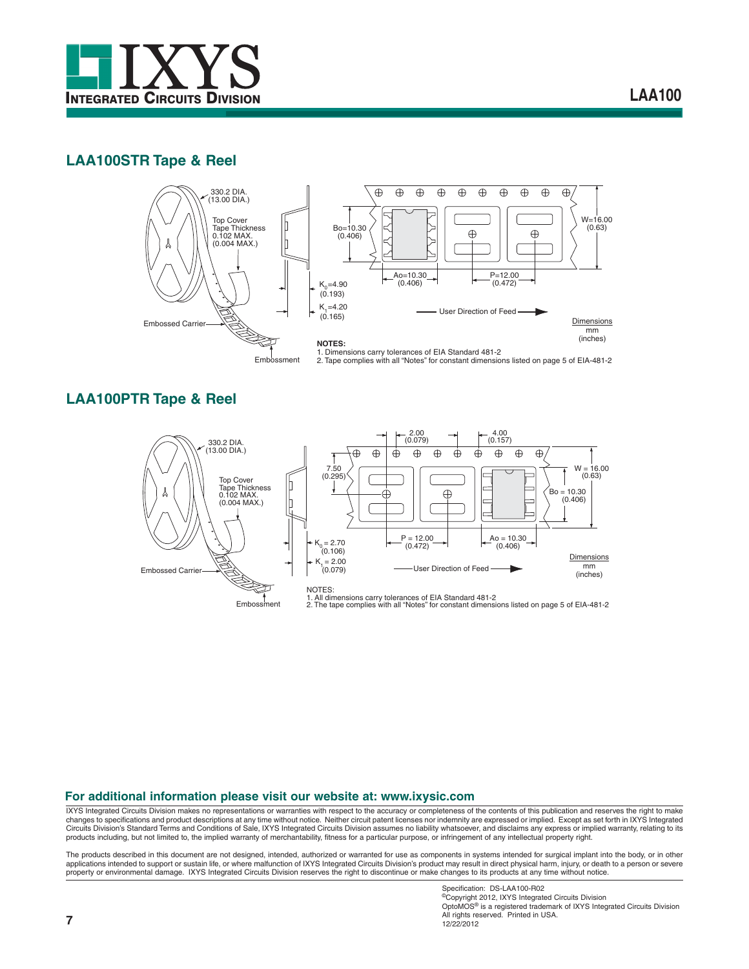

# **LAA100STR Tape & Reel**



## **LAA100PTR Tape & Reel**



#### **For additional information please visit our website at: www.ixysic.com**

IXYS Integrated Circuits Division makes no representations or warranties with respect to the accuracy or completeness of the contents of this publication and reserves the right to make changes to specifications and product descriptions at any time without notice. Neither circuit patent licenses nor indemnity are expressed or implied. Except as set forth in IXYS Integrated<br>Circuits Division's Standard Ter

The products described in this document are not designed, intended, authorized or warranted for use as components in systems intended for surgical implant into the body, or in other<br>applications intended to support or sust property or environmental damage. IXYS Integrated Circuits Division reserves the right to discontinue or make changes to its products at any time without notice.